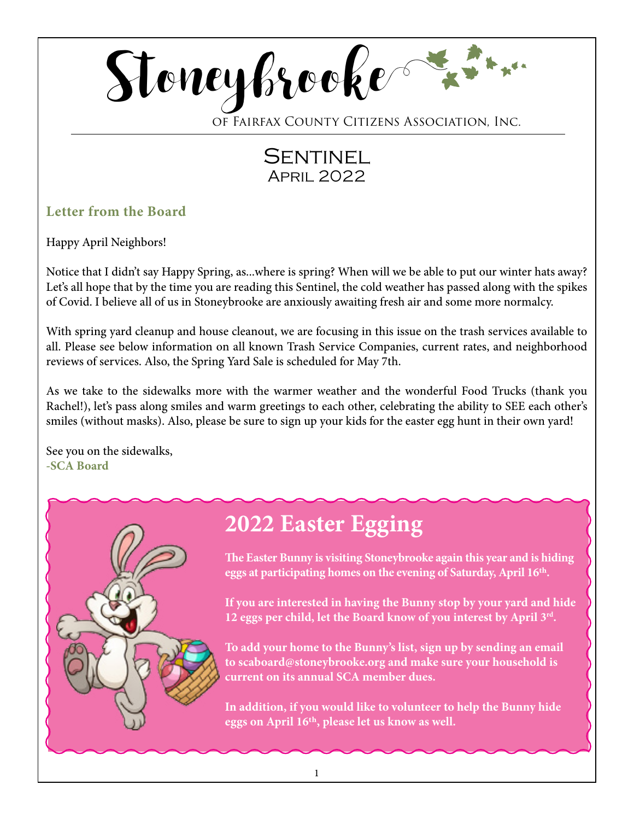

of Fairfax County Citizens Association, Inc.

# **SENTINEL** April 2022

# **Letter from the Board**

Happy April Neighbors!

Notice that I didn't say Happy Spring, as...where is spring? When will we be able to put our winter hats away? Let's all hope that by the time you are reading this Sentinel, the cold weather has passed along with the spikes of Covid. I believe all of us in Stoneybrooke are anxiously awaiting fresh air and some more normalcy.

With spring yard cleanup and house cleanout, we are focusing in this issue on the trash services available to all. Please see below information on all known Trash Service Companies, current rates, and neighborhood reviews of services. Also, the Spring Yard Sale is scheduled for May 7th.

As we take to the sidewalks more with the warmer weather and the wonderful Food Trucks (thank you Rachel!), let's pass along smiles and warm greetings to each other, celebrating the ability to SEE each other's smiles (without masks). Also, please be sure to sign up your kids for the easter egg hunt in their own yard!

See you on the sidewalks, **-SCA Board**

# **2022 Easter Egging**

**The Easter Bunny is visiting Stoneybrooke again this year and is hiding eggs at participating homes on the evening of Saturday, April 16th.**

**If you are interested in having the Bunny stop by your yard and hide 12 eggs per child, let the Board know of you interest by April 3rd.**

**To add your home to the Bunny's list, sign up by sending an email to scaboard@stoneybrooke.org and make sure your household is current on its annual SCA member dues.**

**In addition, if you would like to volunteer to help the Bunny hide eggs on April 16th, please let us know as well.**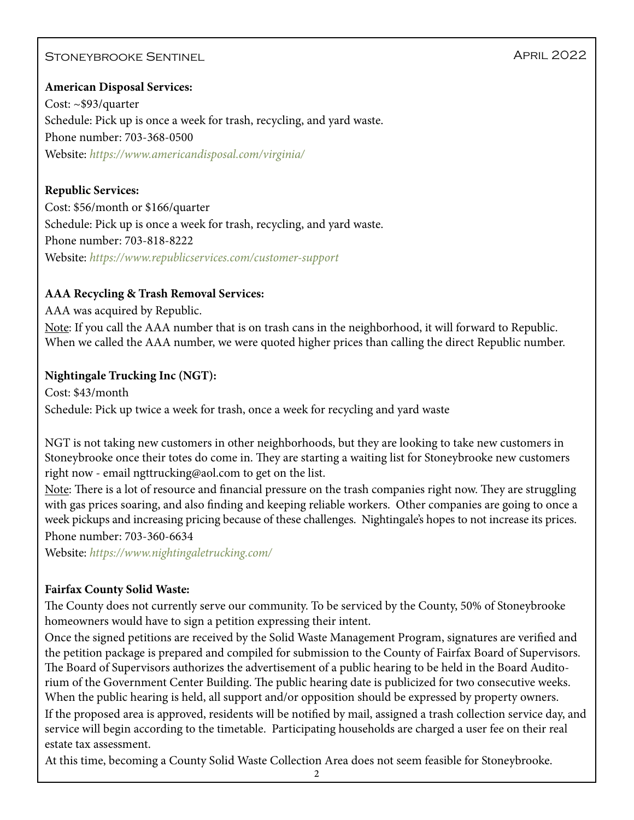# STONEYBROOKE SENTINEL APRIL 2022

#### **American Disposal Services:**

Cost: ~\$93/quarter Schedule: Pick up is once a week for trash, recycling, and yard waste. Phone number: 703-368-0500 Website: *https://www.americandisposal.com/virginia/*

#### **Republic Services:**

Cost: \$56/month or \$166/quarter Schedule: Pick up is once a week for trash, recycling, and yard waste. Phone number: 703-818-8222 Website: *https://www.republicservices.com/customer-support*

#### **AAA Recycling & Trash Removal Services:**

AAA was acquired by Republic. Note: If you call the AAA number that is on trash cans in the neighborhood, it will forward to Republic. When we called the AAA number, we were quoted higher prices than calling the direct Republic number.

#### **Nightingale Trucking Inc (NGT):**

Cost: \$43/month Schedule: Pick up twice a week for trash, once a week for recycling and yard waste

NGT is not taking new customers in other neighborhoods, but they are looking to take new customers in Stoneybrooke once their totes do come in. They are starting a waiting list for Stoneybrooke new customers right now - email ngttrucking@aol.com to get on the list.

Note: There is a lot of resource and financial pressure on the trash companies right now. They are struggling with gas prices soaring, and also finding and keeping reliable workers. Other companies are going to once a week pickups and increasing pricing because of these challenges. Nightingale's hopes to not increase its prices.

Phone number: 703-360-6634

Website: *https://www.nightingaletrucking.com/*

#### **Fairfax County Solid Waste:**

The County does not currently serve our community. To be serviced by the County, 50% of Stoneybrooke homeowners would have to sign a petition expressing their intent.

Once the signed petitions are received by the Solid Waste Management Program, signatures are verified and the petition package is prepared and compiled for submission to the County of Fairfax Board of Supervisors. The Board of Supervisors authorizes the advertisement of a public hearing to be held in the Board Auditorium of the Government Center Building. The public hearing date is publicized for two consecutive weeks. When the public hearing is held, all support and/or opposition should be expressed by property owners.

If the proposed area is approved, residents will be notified by mail, assigned a trash collection service day, and service will begin according to the timetable. Participating households are charged a user fee on their real estate tax assessment.

At this time, becoming a County Solid Waste Collection Area does not seem feasible for Stoneybrooke.

2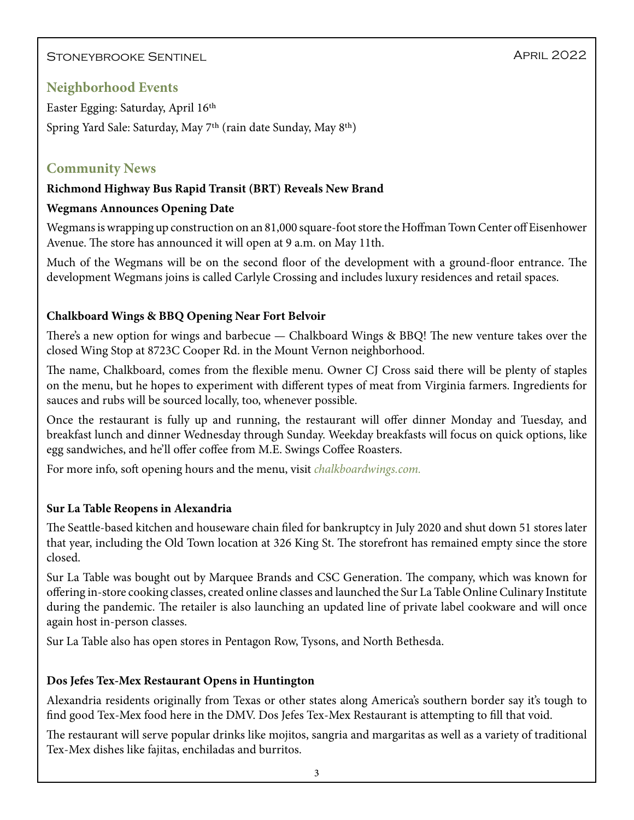Stoneybrooke Sentinel

# **Neighborhood Events**

Easter Egging: Saturday, April 16th Spring Yard Sale: Saturday, May 7th (rain date Sunday, May 8th)

### **Community News**

#### **Richmond Highway Bus Rapid Transit (BRT) Reveals New Brand**

#### **Wegmans Announces Opening Date**

Wegmans is wrapping up construction on an 81,000 square-foot store the Hoffman Town Center off Eisenhower Avenue. The store has announced it will open at 9 a.m. on May 11th.

Much of the Wegmans will be on the second floor of the development with a ground-floor entrance. The development Wegmans joins is called Carlyle Crossing and includes luxury residences and retail spaces.

#### **Chalkboard Wings & BBQ Opening Near Fort Belvoir**

There's a new option for wings and barbecue — Chalkboard Wings & BBQ! The new venture takes over the closed Wing Stop at 8723C Cooper Rd. in the Mount Vernon neighborhood.

The name, Chalkboard, comes from the flexible menu. Owner CJ Cross said there will be plenty of staples on the menu, but he hopes to experiment with different types of meat from Virginia farmers. Ingredients for sauces and rubs will be sourced locally, too, whenever possible.

Once the restaurant is fully up and running, the restaurant will offer dinner Monday and Tuesday, and breakfast lunch and dinner Wednesday through Sunday. Weekday breakfasts will focus on quick options, like egg sandwiches, and he'll offer coffee from M.E. Swings Coffee Roasters.

For more info, soft opening hours and the menu, visit *chalkboardwings.com.* 

#### **Sur La Table Reopens in Alexandria**

The Seattle-based kitchen and houseware chain filed for bankruptcy in July 2020 and shut down 51 stores later that year, including the Old Town location at 326 King St. The storefront has remained empty since the store closed.

Sur La Table was bought out by Marquee Brands and CSC Generation. The company, which was known for offering in-store cooking classes, created online classes and launched the Sur La Table Online Culinary Institute during the pandemic. The retailer is also launching an updated line of private label cookware and will once again host in-person classes.

Sur La Table also has open stores in Pentagon Row, Tysons, and North Bethesda.

#### **Dos Jefes Tex-Mex Restaurant Opens in Huntington**

Alexandria residents originally from Texas or other states along America's southern border say it's tough to find good Tex-Mex food here in the DMV. Dos Jefes Tex-Mex Restaurant is attempting to fill that void.

The restaurant will serve popular drinks like mojitos, sangria and margaritas as well as a variety of traditional Tex-Mex dishes like fajitas, enchiladas and burritos.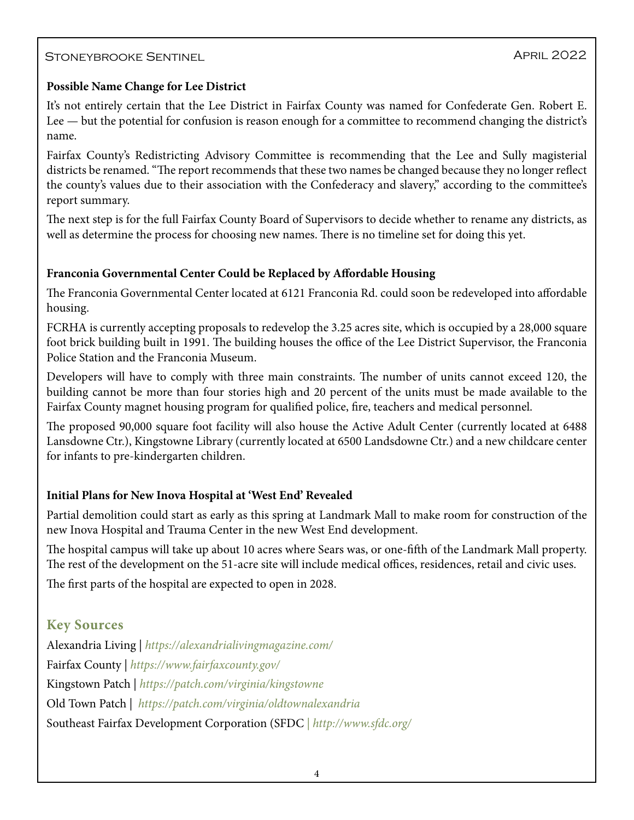# STONEYBROOKE SENTINEL APRIL 2022

#### **Possible Name Change for Lee District**

It's not entirely certain that the Lee District in Fairfax County was named for Confederate Gen. Robert E. Lee — but the potential for confusion is reason enough for a committee to recommend changing the district's name.

Fairfax County's Redistricting Advisory Committee is recommending that the Lee and Sully magisterial districts be renamed. "The report recommends that these two names be changed because they no longer reflect the county's values due to their association with the Confederacy and slavery," according to the committee's report summary.

The next step is for the full Fairfax County Board of Supervisors to decide whether to rename any districts, as well as determine the process for choosing new names. There is no timeline set for doing this yet.

#### **Franconia Governmental Center Could be Replaced by Affordable Housing**

The Franconia Governmental Center located at 6121 Franconia Rd. could soon be redeveloped into affordable housing.

FCRHA is currently accepting proposals to redevelop the 3.25 acres site, which is occupied by a 28,000 square foot brick building built in 1991. The building houses the office of the Lee District Supervisor, the Franconia Police Station and the Franconia Museum.

Developers will have to comply with three main constraints. The number of units cannot exceed 120, the building cannot be more than four stories high and 20 percent of the units must be made available to the Fairfax County magnet housing program for qualified police, fire, teachers and medical personnel.

The proposed 90,000 square foot facility will also house the Active Adult Center (currently located at 6488 Lansdowne Ctr.), Kingstowne Library (currently located at 6500 Landsdowne Ctr.) and a new childcare center for infants to pre-kindergarten children.

#### **Initial Plans for New Inova Hospital at 'West End' Revealed**

Partial demolition could start as early as this spring at Landmark Mall to make room for construction of the new Inova Hospital and Trauma Center in the new West End development.

The hospital campus will take up about 10 acres where Sears was, or one-fifth of the Landmark Mall property. The rest of the development on the 51-acre site will include medical offices, residences, retail and civic uses.

The first parts of the hospital are expected to open in 2028.

# **Key Sources**

Alexandria Living | *<https://alexandrialivingmagazine.com/>* Fairfax County | *<https://www.fairfaxcounty.gov/>* Kingstown Patch | *<https://patch.com/virginia/kingstowne>* Old Town Patch | *<https://patch.com/virginia/oldtownalexandria>* Southeast Fairfax Development Corporation (SFDC *| http://www.sfdc.org/*